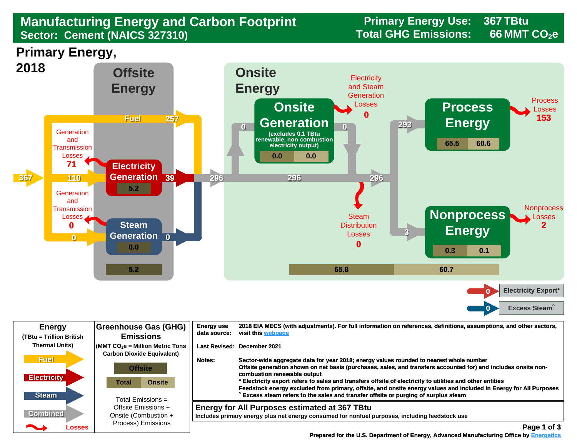## **Manufacturing Energy and Carbon Footprint Frimary Energy Use:** 8 and 2015 Total GHG Emissions: **Sector: Cement (NAICS 327310)**

**367**

**66**

**Primary Energy,** 



| <b>Energy</b><br>(TBtu = Trillion British | <b>Greenhouse Gas (GHG)</b><br><b>Emissions</b>                                                                            | 2018 EIA MECS (with adjustments). For full information on references, definitions, assumptions, and other sectors,<br><b>Energy use</b><br>visit this webpage<br>data source:                                                                                                                                                                      |
|-------------------------------------------|----------------------------------------------------------------------------------------------------------------------------|----------------------------------------------------------------------------------------------------------------------------------------------------------------------------------------------------------------------------------------------------------------------------------------------------------------------------------------------------|
| <b>Thermal Units)</b><br><b>Fuel</b>      | $\sqrt{\frac{1}{100}}$ (MMT CO <sub>2</sub> e = Million Metric Tons<br><b>Carbon Dioxide Equivalent)</b><br><b>Offsite</b> | Last Revised: December 2021<br>Sector-wide aggregate data for year 2018; energy values rounded to nearest whole number<br>Notes:<br>Offsite generation shown on net basis (purchases, sales, and transfers accounted for) and includes onsite non-                                                                                                 |
| <b>Electricity</b><br><b>Steam</b>        | <b>Onsite</b><br>Total                                                                                                     | combustion renewable output<br>* Electricity export refers to sales and transfers offsite of electricity to utilities and other entities<br>Feedstock energy excluded from primary, offsite, and onsite energy values and included in Energy for All Purposes<br>Excess steam refers to the sales and transfer offsite or purging of surplus steam |
| <b>Combined</b>                           | Total Emissions $=$<br>Offsite Emissions +<br>Onsite (Combustion +                                                         | <b>Energy for All Purposes estimated at 367 TBtu</b><br>Includes primary energy plus net energy consumed for nonfuel purposes, including feedstock use                                                                                                                                                                                             |
| <b>Participate</b><br>Losses              | Process) Emissions                                                                                                         | Page 1 of 3                                                                                                                                                                                                                                                                                                                                        |

 **[Prepared for the U.S. Department of Energy, Advanced Manufacturing Office by Energetics](https://www.energetics.com/) Manufacturing Energetics**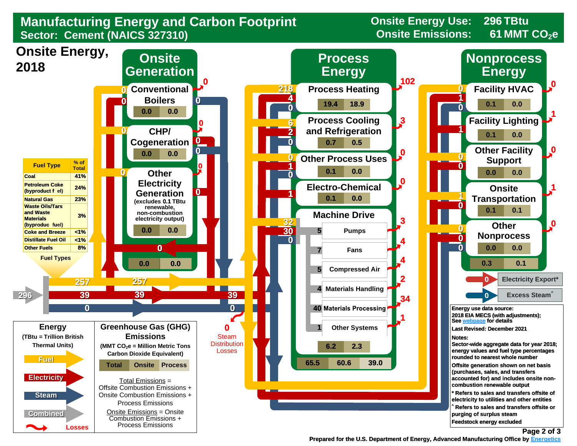